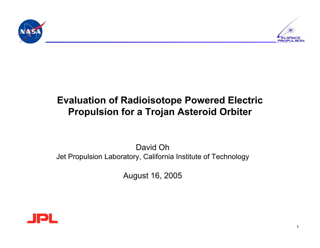



## **Evaluation of Radioisotope Powered Electric Propulsion for a Trojan Asteroid Orbiter**

David Oh Jet Propulsion Laboratory, California Institute of Technology

August 16, 2005

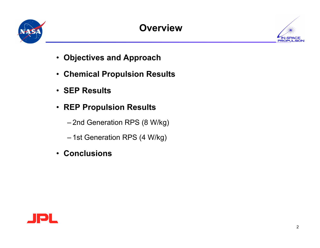

# **Overview**



- **Objectives and Approach**
- **Chemical Propulsion Results**
- **SEP Results**
- **REP Propulsion Results**
	- 2nd Generation RPS (8 W/kg)
	- 1st Generation RPS (4 W/kg)
- **Conclusions**

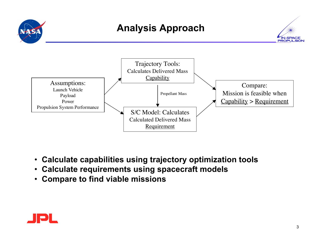



- **Calculate capabilities using trajectory optimization tools**
- **Calculate requirements using spacecraft models**
- **Compare to find viable missions**

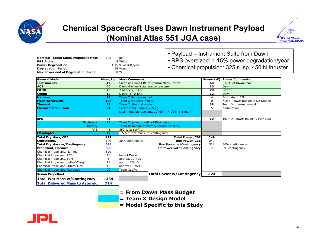

#### **Chemical Spacecraft Uses Dawn Instrument Payload (Nominal Atlas 551 JGA case)**



| <b>Nominal Transit Chem Propellant Mass</b> | 620 | ka                 |
|---------------------------------------------|-----|--------------------|
| <b>RPS Alpha</b>                            |     | 8 W/ka             |
| <b>Power Degradation</b>                    |     | 1.15 % of BOL/vear |
| <b>Degradation Period</b>                   |     | 15 years           |
| Max Power end of Degradation Period         |     | 330 W              |

- Payload = Instrument Suite from Dawn
- RPS oversized: 1.15% power degradation/year
- Chemical propulsion: 325 s Isp, 450 N thruster

| <b>General Model</b>                    | Mass, kg. | Mass Comments                    |                                                    | Power (W) | <b>Power Comments</b>            |
|-----------------------------------------|-----------|----------------------------------|----------------------------------------------------|-----------|----------------------------------|
| <b>Instruments</b>                      | 42        |                                  | Same as Dawn CBE at Neutral Mass Review            | 60        | $\sim$ 60% of Dawn Peak          |
| <b>ACS</b>                              | 40        | Dawn:4 wheel+star tracker system |                                                    | 30        | Dawn                             |
| C&DH                                    | 25        | 2 ACE's, 2 CEU's                 |                                                    | 70        | Dawn                             |
| <b>Comm</b>                             | 30        | Dawn: 2 TWTA's                   |                                                    | 12        | Dawn                             |
| <b>Harness</b>                          | 29        | <b>Team X Harness model</b>      |                                                    | 4         | Estimate: 1.5%                   |
| <b>Mech/Structures</b>                  | 127       | Team X structure model           |                                                    | 0         | NOTE: Power Budget is On Station |
| <b>Thermal</b>                          | 23        | Team X: thermal model            |                                                    | 38        | Team X: thermal model            |
| <b>Chemical Propulsion</b>              | 94        | Scaled from Team X 755 kg.       |                                                    | 5         | assumption                       |
|                                         |           |                                  | Dual mode bipropellant, $12$ MIT + 4 22 N + 1 main |           |                                  |
|                                         |           |                                  |                                                    |           |                                  |
| <b>EPS</b>                              | 71        |                                  |                                                    | 30        | Team X: power model (250W bus)   |
| <b>Electronics</b>                      | 17        | Team X: power model (250 W bus)  |                                                    |           |                                  |
| <b>Battery</b>                          | 6         |                                  | Team X: minimum battery for bus stability          |           |                                  |
| <b>RPS</b>                              | 48        | 350 W at 8W/kg.                  |                                                    |           |                                  |
| LV Adapter                              | 17        | 1.5% of wet mass, no contingency |                                                    |           |                                  |
| <b>Total Dry Mass, CBE</b>              | 497       | <b>Total Power, CBE</b>          |                                                    | 249       |                                  |
| <b>Contingency</b>                      | 149       | 30% contingency                  | <b>Bus Power, CBE</b>                              | 249       |                                  |
| <b>Total Dry Mass w/Contingency</b>     | 646       |                                  | <b>Bus Power w/Contingency</b>                     | 324       | 30% contingency                  |
| <b>Propellant, Chemical</b>             | 688       |                                  | <b>EP Power with Contingency</b>                   | $\Omega$  | 5% contingency                   |
| Chemical Propellant, Nominal            | 620       |                                  |                                                    |           |                                  |
| Chemical Propellant, ACS                | 15        | half of Dawn                     |                                                    |           |                                  |
| Chemical Propellant, TCM                | 3         | approx. 30 m/s                   |                                                    |           |                                  |
| Chemical Propellant, deltaV-Margin      | 15        | approx 2% dV                     |                                                    |           |                                  |
| Chemical Propellant, Orbital Ops        | 15        | approx 50 m/s                    |                                                    |           |                                  |
| <b>Chemical Propellant, Residuals</b>   | 20        | Team X: 3%                       |                                                    |           |                                  |
| Xenon Propellant                        | 0         |                                  | <b>Total Power w/Contingency</b>                   | 324       |                                  |
| <b>Total Wet Mass w/Contingency</b>     | 1334      |                                  |                                                    |           |                                  |
| <b>Total Delivered Mass to Asteroid</b> | 714       |                                  |                                                    |           |                                  |

- **= From Dawn Mass Budget**
- **= Team X Design Model**
- **= Model Specific to this Study**

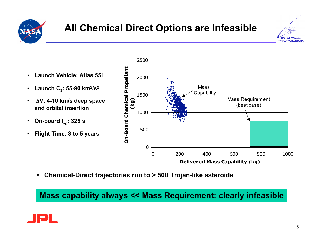

# **All Chemical Direct Options are Infeasible**



- **Launch Vehicle: Atlas 551**
- Launch  $C_3$ : 55-90 km<sup>2</sup>/s<sup>2</sup>
- Δ**V: 4-10 km/s deep space and orbital insertion**
- **On-board I sp: 325 s**
- **Flight Time: 3 to 5 years**



• **Chemical-Direct trajectories run to > 500 Trojan-like asteroids**

**Mass capability always << Mass Requirement: clearly infeasible**

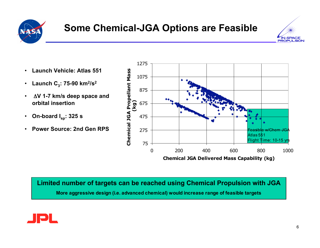

## **Some Chemical-JGA Options are Feasible**



- **Launch Vehicle: Atlas 551**
- Launch  $C_3$ : 75-90 km<sup>2</sup>/s<sup>2</sup>
- Δ**V 1-7 km/s deep space and orbital insertion**
- **On-board I sp: 325 s**
- **Power Source: 2nd Gen RPS**



**Limited number of targets can be reached using Chemical Propulsion with JGA**

**More aggressive design (i.e. advanced chemical) would increase range of feasible targets**

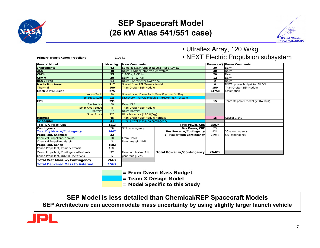

#### **SEP Spacecraft Model (26 kW Atlas 541/551 case)**



• Ultraflex Array, 120 W/kg

| <b>Primary Transit Xenon Propellant</b> | 1100 kg   |                                             |                                                  |                | • NEXT Electric Propulsion subsyste |
|-----------------------------------------|-----------|---------------------------------------------|--------------------------------------------------|----------------|-------------------------------------|
| <b>General Model</b>                    | Mass, kg. | Mass Comments                               |                                                  | Power (W)      | <b>Power Comments</b>               |
| Instruments                             | 42        | Same as Dawn CBE at Neutral Mass Review     |                                                  | 30             | Dawn                                |
| <b>ACS</b>                              | 40        |                                             | Dawn:4 wheel+star tracker system                 |                | Dawn                                |
| C&DH                                    | 25        | 2 ACE's, 2 CEU's                            |                                                  |                | Dawn                                |
| <b>Comm</b>                             | 30        | Dawn: 2 TWTA's                              |                                                  | 12             | Dawn                                |
| <b>RCS / Prop</b>                       | 14        | Dawn: 12 thruster hydrazine                 |                                                  | $\overline{2}$ | Dawn                                |
| <b>Mech/Structures</b>                  | 217       |                                             | Scaled from REP Team X Model                     |                | NOTE: power budget for EP ON        |
| <b>Thermal</b>                          | 100       | <b>Titan Orbiter SEP Module</b>             |                                                  | 150            | <b>Titan Orbiter SEP Module</b>     |
| <b>Electric Propulsion</b>              | 275       |                                             |                                                  | 24750          | assumption                          |
| <b>Xenon Tank</b>                       | 50        | Scaled using Dawn Tank Mass Fraction (4.5%) |                                                  |                |                                     |
| EP Subsystem                            | 225       |                                             | Discovery Analysis Model: 5 thruster NEXT system |                |                                     |
| <b>EPS</b>                              | 291       |                                             |                                                  | 15             | Team X: power model (250W bus)      |
| <b>Electronics</b>                      | 36        | Dawn EPS                                    |                                                  |                |                                     |
| <b>Solar Array Drive</b>                | 8         | <b>Titan Orbiter SEP Module</b>             |                                                  |                |                                     |
| Battery                                 | 27        | Dawn Battery                                |                                                  |                |                                     |
| <b>Solar Array</b>                      | 220       | Ultraflex Array (120 W/kg)                  |                                                  |                |                                     |
| <b>Harness</b>                          | 45        | <b>Titan Orbiter SEP Module Harness</b>     |                                                  | 15             | Guess: 1.5%                         |
| <b>LV Adapter</b>                       | 34        | 1.5% of wet mass, no contingency            |                                                  |                |                                     |
| <b>Total Dry Mass, CBE</b>              | 1113      |                                             | Total Power, CBE                                 | 25074          |                                     |
| Contingency                             | 334       | 30% contingency                             | <b>Bus Power, CBE</b>                            | 324            |                                     |
| <b>Total Dry Mass w/Contingency</b>     | 1447      |                                             | <b>Bus Power w/Contingency</b>                   | 421            | 30% contingency                     |
| <b>Propellant, Chemical</b>             | 33        |                                             | <b>EP Power with Contingency</b>                 | 25988          | 5% contingency                      |
| Chemical Propellant, Nominal            | 30        | From Dawn                                   |                                                  |                |                                     |
| Chemical Propellant Margin              | 3         | Dawn margin 10%                             |                                                  |                |                                     |
| Propellant, Xenon                       | 1182      |                                             |                                                  |                |                                     |
| Xenon Propellant, Primary Transit       | 1100      |                                             |                                                  |                |                                     |
| Xenon Propellant, Contingency/Residuals | 77        | Dawn equivalent 7%                          | <b>Total Power w/Contingency</b>                 | 26409          |                                     |
| Xenon Propellant, Orbital Operations    | 5         | generous quess                              |                                                  |                |                                     |
| <b>Total Wet Mass w/Contingency</b>     | 2662      |                                             |                                                  |                |                                     |
| <b>Total Delivered Mass to Asteroid</b> | 1562      |                                             |                                                  |                |                                     |

• NEXT Electric Propulsion subsystem

- **= From Dawn Mass Budget**
- **= Team X Design Model**
- **= Model Specific to this Study**

**SEP Model is less detailed than Chemical/REP Spacecraft Models SEP Architecture can accommodate mass uncertainty by using slightly larger launch vehicle**

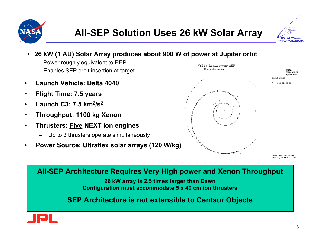



- **26 kW (1 AU) Solar Array produces about 900 W of power at Jupiter orbit**
	- Power roughly equivalent to REP
	- Enables SEP orbit insertion at target
- **Launch Vehicle: Delta 4040**
- **Flight Time: 7.5 years**
- **Launch C3: 7.5 km2/s2**
- **Throughput: 1100 kg Xenon**
- **Thrusters: Five NEXT ion engines**
	- Up to 3 thrusters operate simultaneously
- **Power Source: Ultraflex solar arrays (120 W/kg)**



**All-SEP Architecture Requires Very High power and Xenon Throughput**

**26 kW array is 2.5 times larger than Dawn Configuration must accommodate 5 x 40 cm ion thrusters**

**SEP Architecture is not extensible to Centaur Objects**

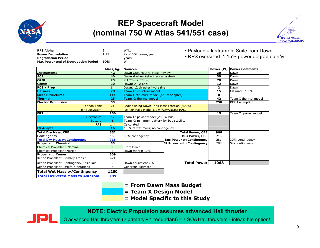

#### **REP Spacecraft Model (nominal 750 W Atlas 541/551 case)**



| <b>RPS Alpha</b>                           | 8               | W/kg                                                 |                                  |                | • Payload = Instrument Suite from Dawn      |
|--------------------------------------------|-----------------|------------------------------------------------------|----------------------------------|----------------|---------------------------------------------|
| <b>Power Degradation</b>                   | 1.15            | % of BOL power/year                                  |                                  |                |                                             |
| <b>Degradation Period</b>                  | 6.9             | years                                                |                                  |                | • RPS oversized: 1.15% power degradation/yr |
| <b>Max Power end of Degradation Period</b> | 1068            | w                                                    |                                  |                |                                             |
|                                            |                 | Sources                                              |                                  | Power (W       | <b>Power Comments</b>                       |
| Instruments                                | Mass, kg.<br>42 | Dawn CBE, Neutral Mass Review                        |                                  | 30             | Dawn                                        |
| <b>ACS</b>                                 | 40              |                                                      |                                  | 30             | Dawn                                        |
| <b>C&amp;DH</b>                            | 25              | Dawn:4 wheel+star tracker system<br>2 ACE's, 2 CEU's |                                  | 70             | Dawn                                        |
| <b>Comm</b>                                | 30              | Dawn: 2 TWTA's                                       |                                  | 12             | Dawn                                        |
|                                            | 14              |                                                      |                                  | $\overline{2}$ | Dawn                                        |
| <b>RCS / Prop</b>                          |                 | Dawn: 12 thruster hydrazine                          |                                  | 15             |                                             |
| <b>Harness</b>                             | 28              | Team X: structure model                              |                                  | $\mathbf{0}$   | Estimate: 1.5%                              |
| <b>Mech/Structures</b>                     | 111             | Team X structure model (no LV adapter)               |                                  |                |                                             |
| Thermal                                    | 25              | Team X: thermal model                                |                                  | 42             | Team X thermal model                        |
| <b>Electric Propulsion</b>                 | 55              |                                                      |                                  | 750            | <b>REP Assumption</b>                       |
| <b>Xenon Tankl</b>                         | 21              | Scaled using Dawn Tank Mass Fraction (4.5%)          |                                  |                |                                             |
| EP Subsystem                               | 34              | REP EP Mass Model 1.1 w/ADVANCED HALL                |                                  | 15             |                                             |
| <b>EPS</b>                                 | 166             |                                                      |                                  |                | Team X: power model                         |
| <b>Electronics</b>                         | 17              | Team X: power model (250 W bus)                      |                                  |                |                                             |
| <b>Battery</b>                             | 6               | Team X: minimum battery for bus stability            |                                  |                |                                             |
| <b>RPS</b>                                 | 144             | Calculated                                           |                                  |                |                                             |
| LV Adapter                                 | 16              | 1.5% of wet mass, no contingency                     |                                  |                |                                             |
| <b>Total Dry Mass, CBE</b>                 | 552             |                                                      | <b>Total Power, CBE</b>          | 966            |                                             |
| Contingency                                | 166             | 30% contingency                                      | <b>Bus Power, CBE</b>            | 216            |                                             |
| <b>Total Dry Mass w/Contingency</b>        | 718             |                                                      | <b>Bus Power w/Contingency</b>   | 281            | 30% contingency                             |
| <b>Propellant, Chemical</b>                | 33              |                                                      | <b>EP Power with Contingency</b> | 788            | 5% contingency                              |
| Chemical Propellant, Nominal               | 30              | From Dawn                                            |                                  |                |                                             |
| Chemical Propellant Margin                 | 3               | Dawn margin 10%                                      |                                  |                |                                             |
| Propellant, Xenon                          | 509             |                                                      |                                  |                |                                             |
| Xenon Propellant, Primary Transit          | 471             |                                                      |                                  |                |                                             |
| Xenon Propellant, Contingency/Residuals    | 33              | Dawn equivalent 7%                                   | <b>Total Power</b>               | 1068           |                                             |
| Xenon Propellant, Orbital Operations       | 5               | Generous Estimate                                    |                                  |                |                                             |
| Total Wet Mass w/Contingency               | 1260            |                                                      |                                  |                |                                             |
| <b>Total Delivered Mass to Asteroid</b>    | 789             |                                                      |                                  |                |                                             |

- **= From Dawn Mass Budget**
- **= Team X Design Model**
- **= Model Specific to this Study**

**NOTE: Electric Propulsion assumes advanced Hall thruster**

3 advanced Hall thrusters (2 primary + 1 redundant) = 7 SOA Hall thrusters - infeasible option!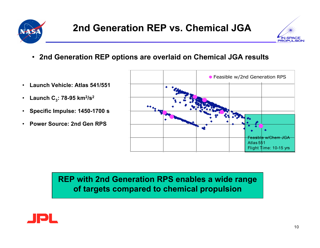



- **2nd Generation REP options are overlaid on Chemical JGA results**
- **Launch Vehicle: Atlas 541/551**
- Launch  $C_3$ : 78-95  $km^2/s^2$
- **Specific Impulse: 1450-1700 s**
- **Power Source: 2nd Gen RPS**



**REP with 2nd Generation RPS enables a wide range of targets compared to chemical propulsion**

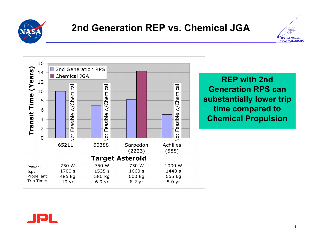





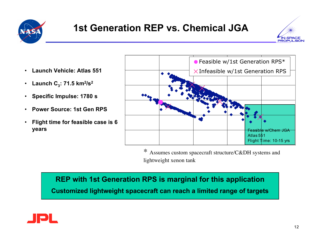



- **Launch Vehicle: Atlas 551**
- Launch  $C_3$ : 71.5  $km^2/s^2$
- **Specific Impulse: 1780 s**
- **Power Source: 1st Gen RPS**
- **Flight time for feasible case is 6 years**



\* Assumes custom spacecraft structure/C&DH systems and lightweight xenon tank

**REP with 1st Generation RPS is marginal for this application Customized lightweight spacecraft can reach a limited range of targets**

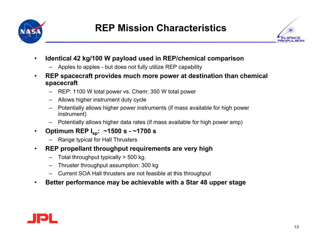



- **Identical 42 kg/100 W payload used in REP/chemical comparison**
	- Apples to apples but does not fully utilize REP capability
- **REP spacecraft provides much more power at destination than chemical spacecraft**
	- REP: 1100 W total power vs. Chem: 350 W total power
	- Allows higher instrument duty cycle
	- Potentially allows higher power instruments (if mass available for high power instrument)
	- Potentially allows higher data rates (if mass available for high power amp)
- **Optimum REP Isp: ~1500 s - ~1700 s**
	- Range typical for Hall Thrusters
- **REP propellant throughput requirements are very high**
	- Total throughput typically > 500 kg.
	- Thruster throughput assumption: 300 kg
	- Current SOA Hall thrusters are not feasible at this throughput
- **Better performance may be achievable with a Star 48 upper stage**

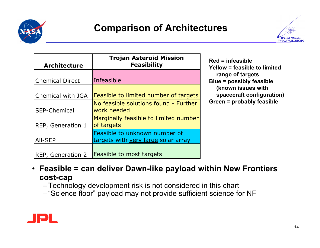

### **Comparison of Architectures**



| <b>Architecture</b>    | <b>Trojan Asteroid Mission</b><br><b>Feasibility</b>                 | $Red = infeasible$<br>Yellow = feasible to limited |
|------------------------|----------------------------------------------------------------------|----------------------------------------------------|
| <b>Chemical Direct</b> | Infeasible                                                           | range of targets<br>Blue = possibly feasible       |
| Chemical with JGA      | <b>Feasible to limited number of targets</b>                         | (known issues with<br>spacecraft configuration)    |
| <b>SEP-Chemical</b>    | No feasible solutions found - Further<br>work needed                 | Green = probably feasible                          |
| REP, Generation 1      | Marginally feasible to limited number<br>of targets                  |                                                    |
| All-SEP                | Feasible to unknown number of<br>targets with very large solar array |                                                    |
| REP, Generation 2      | <b>Feasible to most targets</b>                                      |                                                    |

- **Feasible = can deliver Dawn-like payload within New Frontiers cost-cap**
	- Technology development risk is not considered in this chart
	- "Science floor" payload may not provide sufficient science for NF